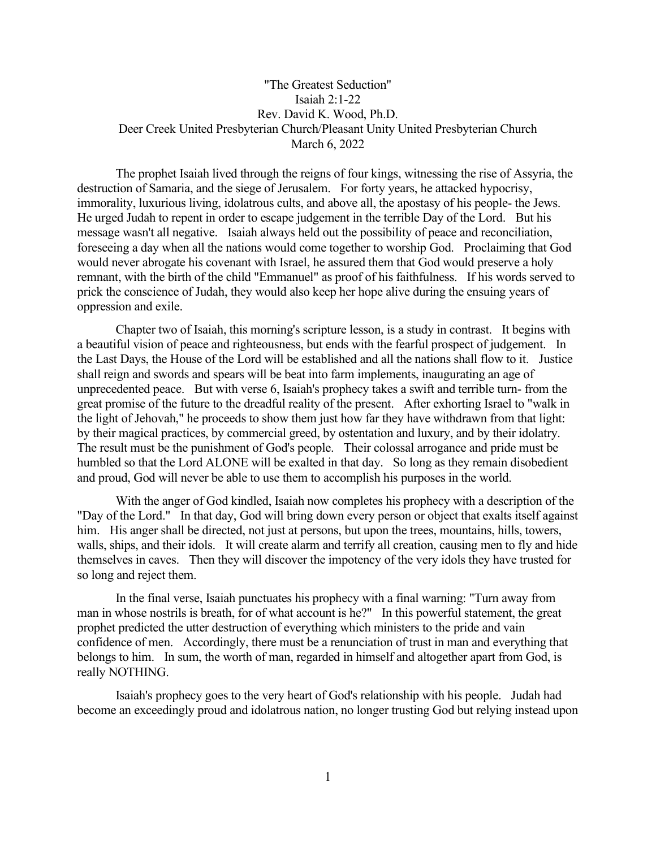## "The Greatest Seduction" Isaiah 2:1-22 Rev. David K. Wood, Ph.D. Deer Creek United Presbyterian Church/Pleasant Unity United Presbyterian Church March 6, 2022

The prophet Isaiah lived through the reigns of four kings, witnessing the rise of Assyria, the destruction of Samaria, and the siege of Jerusalem. For forty years, he attacked hypocrisy, immorality, luxurious living, idolatrous cults, and above all, the apostasy of his people- the Jews. He urged Judah to repent in order to escape judgement in the terrible Day of the Lord. But his message wasn't all negative. Isaiah always held out the possibility of peace and reconciliation, foreseeing a day when all the nations would come together to worship God. Proclaiming that God would never abrogate his covenant with Israel, he assured them that God would preserve a holy remnant, with the birth of the child "Emmanuel" as proof of his faithfulness. If his words served to prick the conscience of Judah, they would also keep her hope alive during the ensuing years of oppression and exile.

Chapter two of Isaiah, this morning's scripture lesson, is a study in contrast. It begins with a beautiful vision of peace and righteousness, but ends with the fearful prospect of judgement. In the Last Days, the House of the Lord will be established and all the nations shall flow to it. Justice shall reign and swords and spears will be beat into farm implements, inaugurating an age of unprecedented peace. But with verse 6, Isaiah's prophecy takes a swift and terrible turn- from the great promise of the future to the dreadful reality of the present. After exhorting Israel to "walk in the light of Jehovah," he proceeds to show them just how far they have withdrawn from that light: by their magical practices, by commercial greed, by ostentation and luxury, and by their idolatry. The result must be the punishment of God's people. Their colossal arrogance and pride must be humbled so that the Lord ALONE will be exalted in that day. So long as they remain disobedient and proud, God will never be able to use them to accomplish his purposes in the world.

With the anger of God kindled, Isaiah now completes his prophecy with a description of the "Day of the Lord." In that day, God will bring down every person or object that exalts itself against him. His anger shall be directed, not just at persons, but upon the trees, mountains, hills, towers, walls, ships, and their idols. It will create alarm and terrify all creation, causing men to fly and hide themselves in caves. Then they will discover the impotency of the very idols they have trusted for so long and reject them.

In the final verse, Isaiah punctuates his prophecy with a final warning: "Turn away from man in whose nostrils is breath, for of what account is he?" In this powerful statement, the great prophet predicted the utter destruction of everything which ministers to the pride and vain confidence of men. Accordingly, there must be a renunciation of trust in man and everything that belongs to him. In sum, the worth of man, regarded in himself and altogether apart from God, is really NOTHING.

Isaiah's prophecy goes to the very heart of God's relationship with his people. Judah had become an exceedingly proud and idolatrous nation, no longer trusting God but relying instead upon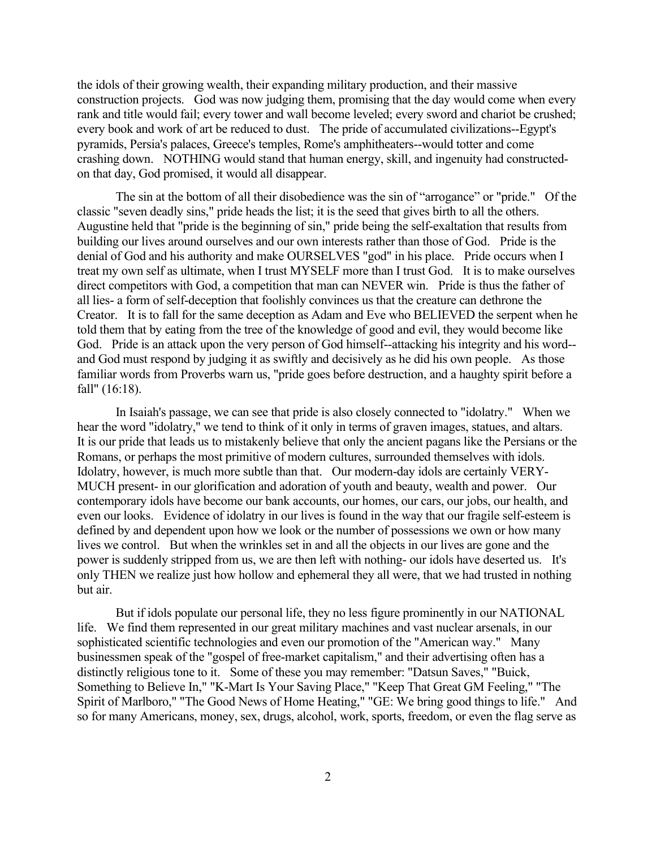the idols of their growing wealth, their expanding military production, and their massive construction projects. God was now judging them, promising that the day would come when every rank and title would fail; every tower and wall become leveled; every sword and chariot be crushed; every book and work of art be reduced to dust. The pride of accumulated civilizations--Egypt's pyramids, Persia's palaces, Greece's temples, Rome's amphitheaters--would totter and come crashing down. NOTHING would stand that human energy, skill, and ingenuity had constructedon that day, God promised, it would all disappear.

The sin at the bottom of all their disobedience was the sin of "arrogance" or "pride." Of the classic "seven deadly sins," pride heads the list; it is the seed that gives birth to all the others. Augustine held that "pride is the beginning of sin," pride being the self-exaltation that results from building our lives around ourselves and our own interests rather than those of God. Pride is the denial of God and his authority and make OURSELVES "god" in his place. Pride occurs when I treat my own self as ultimate, when I trust MYSELF more than I trust God. It is to make ourselves direct competitors with God, a competition that man can NEVER win. Pride is thus the father of all lies- a form of self-deception that foolishly convinces us that the creature can dethrone the Creator. It is to fall for the same deception as Adam and Eve who BELIEVED the serpent when he told them that by eating from the tree of the knowledge of good and evil, they would become like God. Pride is an attack upon the very person of God himself--attacking his integrity and his word- and God must respond by judging it as swiftly and decisively as he did his own people. As those familiar words from Proverbs warn us, "pride goes before destruction, and a haughty spirit before a fall" (16:18).

In Isaiah's passage, we can see that pride is also closely connected to "idolatry." When we hear the word "idolatry," we tend to think of it only in terms of graven images, statues, and altars. It is our pride that leads us to mistakenly believe that only the ancient pagans like the Persians or the Romans, or perhaps the most primitive of modern cultures, surrounded themselves with idols. Idolatry, however, is much more subtle than that. Our modern-day idols are certainly VERY-MUCH present- in our glorification and adoration of youth and beauty, wealth and power. Our contemporary idols have become our bank accounts, our homes, our cars, our jobs, our health, and even our looks. Evidence of idolatry in our lives is found in the way that our fragile self-esteem is defined by and dependent upon how we look or the number of possessions we own or how many lives we control. But when the wrinkles set in and all the objects in our lives are gone and the power is suddenly stripped from us, we are then left with nothing- our idols have deserted us. It's only THEN we realize just how hollow and ephemeral they all were, that we had trusted in nothing but air.

But if idols populate our personal life, they no less figure prominently in our NATIONAL life. We find them represented in our great military machines and vast nuclear arsenals, in our sophisticated scientific technologies and even our promotion of the "American way." Many businessmen speak of the "gospel of free-market capitalism," and their advertising often has a distinctly religious tone to it. Some of these you may remember: "Datsun Saves," "Buick, Something to Believe In," "K-Mart Is Your Saving Place," "Keep That Great GM Feeling," "The Spirit of Marlboro," "The Good News of Home Heating," "GE: We bring good things to life." And so for many Americans, money, sex, drugs, alcohol, work, sports, freedom, or even the flag serve as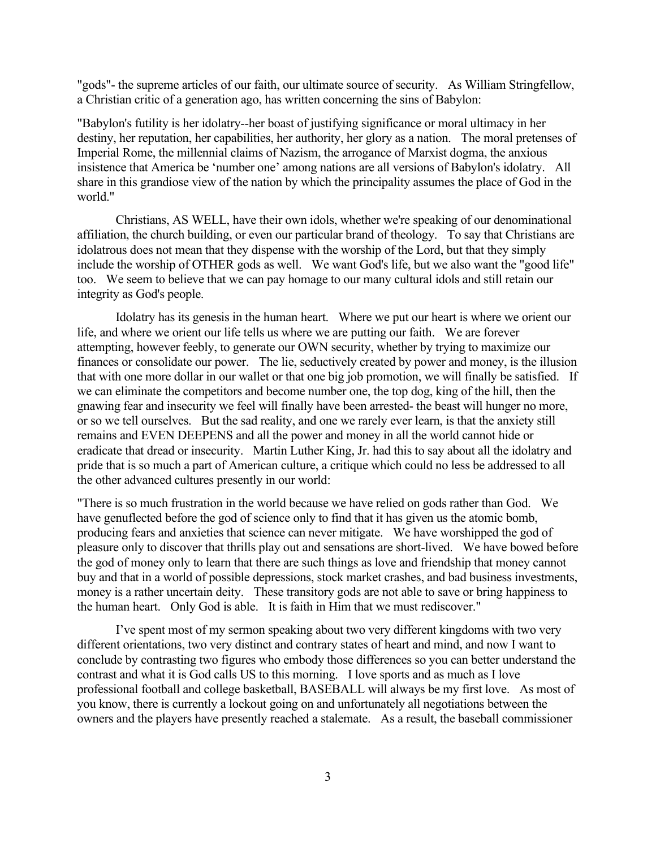"gods"- the supreme articles of our faith, our ultimate source of security. As William Stringfellow, a Christian critic of a generation ago, has written concerning the sins of Babylon:

"Babylon's futility is her idolatry--her boast of justifying significance or moral ultimacy in her destiny, her reputation, her capabilities, her authority, her glory as a nation. The moral pretenses of Imperial Rome, the millennial claims of Nazism, the arrogance of Marxist dogma, the anxious insistence that America be 'number one' among nations are all versions of Babylon's idolatry. All share in this grandiose view of the nation by which the principality assumes the place of God in the world."

Christians, AS WELL, have their own idols, whether we're speaking of our denominational affiliation, the church building, or even our particular brand of theology. To say that Christians are idolatrous does not mean that they dispense with the worship of the Lord, but that they simply include the worship of OTHER gods as well. We want God's life, but we also want the "good life" too. We seem to believe that we can pay homage to our many cultural idols and still retain our integrity as God's people.

Idolatry has its genesis in the human heart. Where we put our heart is where we orient our life, and where we orient our life tells us where we are putting our faith. We are forever attempting, however feebly, to generate our OWN security, whether by trying to maximize our finances or consolidate our power. The lie, seductively created by power and money, is the illusion that with one more dollar in our wallet or that one big job promotion, we will finally be satisfied. If we can eliminate the competitors and become number one, the top dog, king of the hill, then the gnawing fear and insecurity we feel will finally have been arrested- the beast will hunger no more, or so we tell ourselves. But the sad reality, and one we rarely ever learn, is that the anxiety still remains and EVEN DEEPENS and all the power and money in all the world cannot hide or eradicate that dread or insecurity. Martin Luther King, Jr. had this to say about all the idolatry and pride that is so much a part of American culture, a critique which could no less be addressed to all the other advanced cultures presently in our world:

"There is so much frustration in the world because we have relied on gods rather than God. We have genuflected before the god of science only to find that it has given us the atomic bomb, producing fears and anxieties that science can never mitigate. We have worshipped the god of pleasure only to discover that thrills play out and sensations are short-lived. We have bowed before the god of money only to learn that there are such things as love and friendship that money cannot buy and that in a world of possible depressions, stock market crashes, and bad business investments, money is a rather uncertain deity. These transitory gods are not able to save or bring happiness to the human heart. Only God is able. It is faith in Him that we must rediscover."

I've spent most of my sermon speaking about two very different kingdoms with two very different orientations, two very distinct and contrary states of heart and mind, and now I want to conclude by contrasting two figures who embody those differences so you can better understand the contrast and what it is God calls US to this morning. I love sports and as much as I love professional football and college basketball, BASEBALL will always be my first love. As most of you know, there is currently a lockout going on and unfortunately all negotiations between the owners and the players have presently reached a stalemate. As a result, the baseball commissioner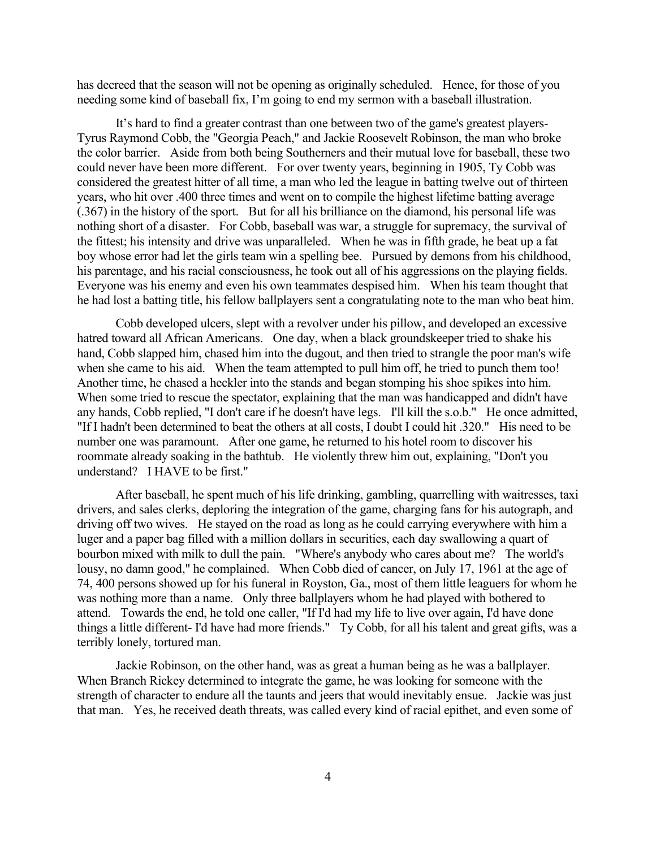has decreed that the season will not be opening as originally scheduled. Hence, for those of you needing some kind of baseball fix, I'm going to end my sermon with a baseball illustration.

It's hard to find a greater contrast than one between two of the game's greatest players-Tyrus Raymond Cobb, the "Georgia Peach," and Jackie Roosevelt Robinson, the man who broke the color barrier. Aside from both being Southerners and their mutual love for baseball, these two could never have been more different. For over twenty years, beginning in 1905, Ty Cobb was considered the greatest hitter of all time, a man who led the league in batting twelve out of thirteen years, who hit over .400 three times and went on to compile the highest lifetime batting average (.367) in the history of the sport. But for all his brilliance on the diamond, his personal life was nothing short of a disaster. For Cobb, baseball was war, a struggle for supremacy, the survival of the fittest; his intensity and drive was unparalleled. When he was in fifth grade, he beat up a fat boy whose error had let the girls team win a spelling bee. Pursued by demons from his childhood, his parentage, and his racial consciousness, he took out all of his aggressions on the playing fields. Everyone was his enemy and even his own teammates despised him. When his team thought that he had lost a batting title, his fellow ballplayers sent a congratulating note to the man who beat him.

Cobb developed ulcers, slept with a revolver under his pillow, and developed an excessive hatred toward all African Americans. One day, when a black groundskeeper tried to shake his hand, Cobb slapped him, chased him into the dugout, and then tried to strangle the poor man's wife when she came to his aid. When the team attempted to pull him off, he tried to punch them too! Another time, he chased a heckler into the stands and began stomping his shoe spikes into him. When some tried to rescue the spectator, explaining that the man was handicapped and didn't have any hands, Cobb replied, "I don't care if he doesn't have legs. I'll kill the s.o.b." He once admitted, "If I hadn't been determined to beat the others at all costs, I doubt I could hit .320." His need to be number one was paramount. After one game, he returned to his hotel room to discover his roommate already soaking in the bathtub. He violently threw him out, explaining, "Don't you understand? I HAVE to be first."

After baseball, he spent much of his life drinking, gambling, quarrelling with waitresses, taxi drivers, and sales clerks, deploring the integration of the game, charging fans for his autograph, and driving off two wives. He stayed on the road as long as he could carrying everywhere with him a luger and a paper bag filled with a million dollars in securities, each day swallowing a quart of bourbon mixed with milk to dull the pain. "Where's anybody who cares about me? The world's lousy, no damn good," he complained. When Cobb died of cancer, on July 17, 1961 at the age of 74, 400 persons showed up for his funeral in Royston, Ga., most of them little leaguers for whom he was nothing more than a name. Only three ballplayers whom he had played with bothered to attend. Towards the end, he told one caller, "If I'd had my life to live over again, I'd have done things a little different- I'd have had more friends." Ty Cobb, for all his talent and great gifts, was a terribly lonely, tortured man.

Jackie Robinson, on the other hand, was as great a human being as he was a ballplayer. When Branch Rickey determined to integrate the game, he was looking for someone with the strength of character to endure all the taunts and jeers that would inevitably ensue. Jackie was just that man. Yes, he received death threats, was called every kind of racial epithet, and even some of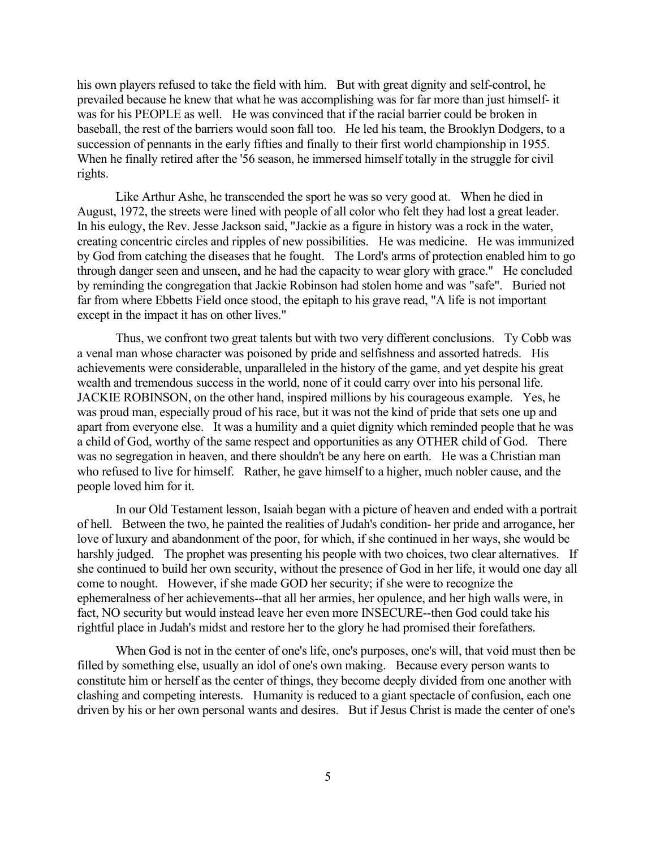his own players refused to take the field with him. But with great dignity and self-control, he prevailed because he knew that what he was accomplishing was for far more than just himself- it was for his PEOPLE as well. He was convinced that if the racial barrier could be broken in baseball, the rest of the barriers would soon fall too. He led his team, the Brooklyn Dodgers, to a succession of pennants in the early fifties and finally to their first world championship in 1955. When he finally retired after the '56 season, he immersed himself totally in the struggle for civil rights.

Like Arthur Ashe, he transcended the sport he was so very good at. When he died in August, 1972, the streets were lined with people of all color who felt they had lost a great leader. In his eulogy, the Rev. Jesse Jackson said, "Jackie as a figure in history was a rock in the water, creating concentric circles and ripples of new possibilities. He was medicine. He was immunized by God from catching the diseases that he fought. The Lord's arms of protection enabled him to go through danger seen and unseen, and he had the capacity to wear glory with grace." He concluded by reminding the congregation that Jackie Robinson had stolen home and was "safe". Buried not far from where Ebbetts Field once stood, the epitaph to his grave read, "A life is not important except in the impact it has on other lives."

Thus, we confront two great talents but with two very different conclusions. Ty Cobb was a venal man whose character was poisoned by pride and selfishness and assorted hatreds. His achievements were considerable, unparalleled in the history of the game, and yet despite his great wealth and tremendous success in the world, none of it could carry over into his personal life. JACKIE ROBINSON, on the other hand, inspired millions by his courageous example. Yes, he was proud man, especially proud of his race, but it was not the kind of pride that sets one up and apart from everyone else. It was a humility and a quiet dignity which reminded people that he was a child of God, worthy of the same respect and opportunities as any OTHER child of God. There was no segregation in heaven, and there shouldn't be any here on earth. He was a Christian man who refused to live for himself. Rather, he gave himself to a higher, much nobler cause, and the people loved him for it.

In our Old Testament lesson, Isaiah began with a picture of heaven and ended with a portrait of hell. Between the two, he painted the realities of Judah's condition- her pride and arrogance, her love of luxury and abandonment of the poor, for which, if she continued in her ways, she would be harshly judged. The prophet was presenting his people with two choices, two clear alternatives. If she continued to build her own security, without the presence of God in her life, it would one day all come to nought. However, if she made GOD her security; if she were to recognize the ephemeralness of her achievements--that all her armies, her opulence, and her high walls were, in fact, NO security but would instead leave her even more INSECURE--then God could take his rightful place in Judah's midst and restore her to the glory he had promised their forefathers.

When God is not in the center of one's life, one's purposes, one's will, that void must then be filled by something else, usually an idol of one's own making. Because every person wants to constitute him or herself as the center of things, they become deeply divided from one another with clashing and competing interests. Humanity is reduced to a giant spectacle of confusion, each one driven by his or her own personal wants and desires. But if Jesus Christ is made the center of one's